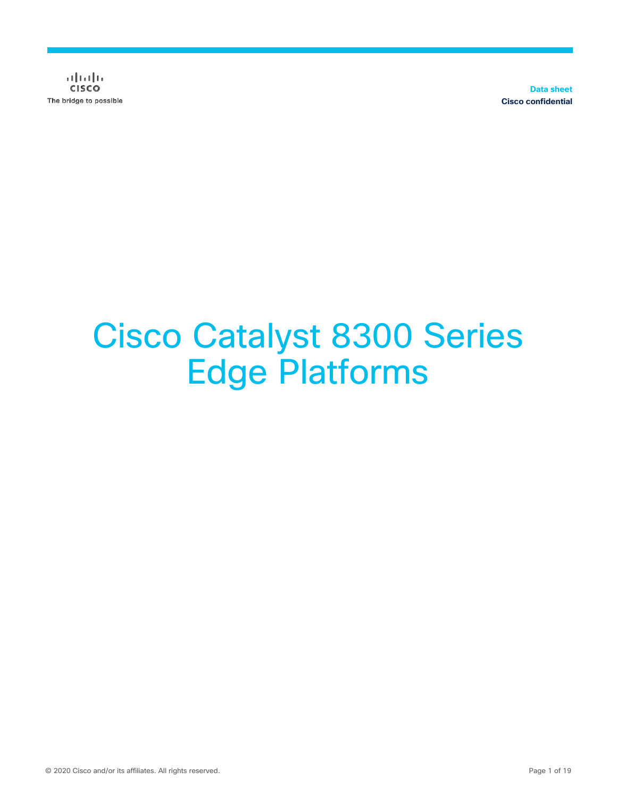$\frac{1}{2}$  and  $\frac{1}{2}$ **CISCO** The bridge to possible

**Data sheet Cisco confidential**

# Cisco Catalyst 8300 Series Edge Platforms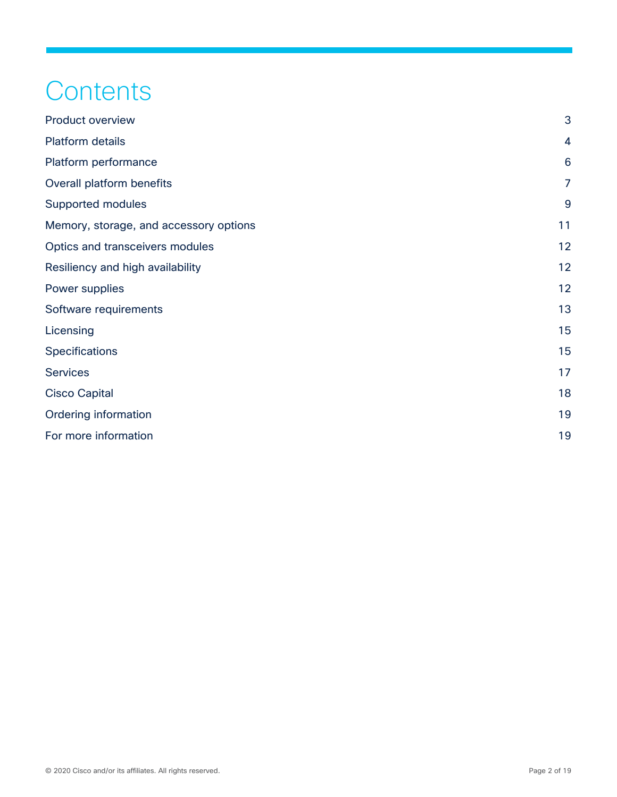# **Contents**

| <b>Product overview</b>                | 3              |
|----------------------------------------|----------------|
| Platform details                       | 4              |
| Platform performance                   | 6              |
| Overall platform benefits              | $\overline{7}$ |
| Supported modules                      | 9              |
| Memory, storage, and accessory options | 11             |
| Optics and transceivers modules        | 12             |
| Resiliency and high availability       | 12             |
| Power supplies                         | 12             |
| Software requirements                  | 13             |
| Licensing                              | 15             |
| Specifications                         | 15             |
| <b>Services</b>                        | 17             |
| <b>Cisco Capital</b>                   | 18             |
| Ordering information                   | 19             |
| For more information                   | 19             |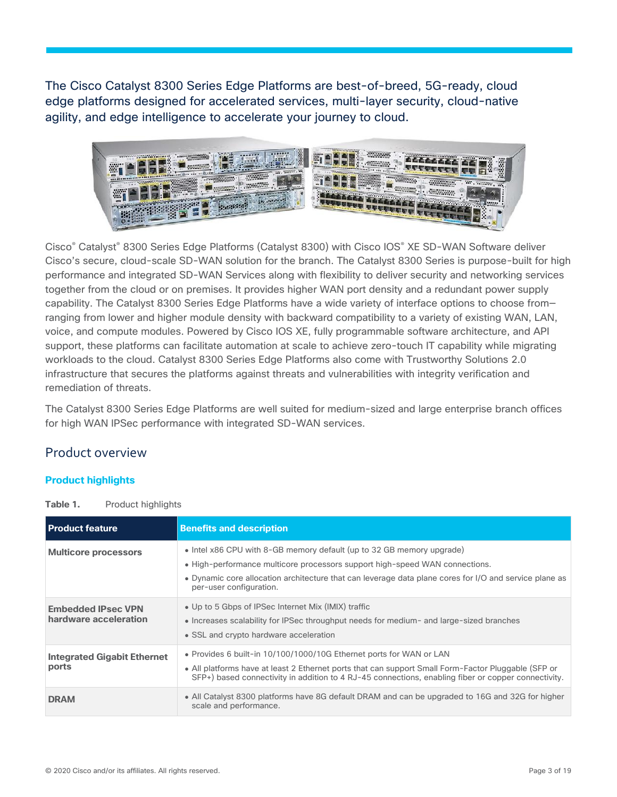The Cisco Catalyst 8300 Series Edge Platforms are best-of-breed, 5G-ready, cloud edge platforms designed for accelerated services, multi-layer security, cloud-native agility, and edge intelligence to accelerate your journey to cloud.



Cisco® Catalyst® 8300 Series Edge Platforms (Catalyst 8300) with Cisco IOS® XE SD-WAN Software deliver Cisco's secure, cloud-scale SD-WAN solution for the branch. The Catalyst 8300 Series is purpose-built for high performance and integrated SD-WAN Services along with flexibility to deliver security and networking services together from the cloud or on premises. It provides higher WAN port density and a redundant power supply capability. The Catalyst 8300 Series Edge Platforms have a wide variety of interface options to choose from ranging from lower and higher module density with backward compatibility to a variety of existing WAN, LAN, voice, and compute modules. Powered by Cisco IOS XE, fully programmable software architecture, and API support, these platforms can facilitate automation at scale to achieve zero-touch IT capability while migrating workloads to the cloud. Catalyst 8300 Series Edge Platforms also come with Trustworthy Solutions 2.0 infrastructure that secures the platforms against threats and vulnerabilities with integrity verification and remediation of threats.

The Catalyst 8300 Series Edge Platforms are well suited for medium-sized and large enterprise branch offices for high WAN IPSec performance with integrated SD-WAN services.

### Product overview

### **Product highlights**

**Table 1.** Product highlights

| <b>Product feature</b>                             | <b>Benefits and description</b>                                                                                                                                                                                                                                                           |
|----------------------------------------------------|-------------------------------------------------------------------------------------------------------------------------------------------------------------------------------------------------------------------------------------------------------------------------------------------|
| <b>Multicore processors</b>                        | • Intel x86 CPU with 8-GB memory default (up to 32 GB memory upgrade)<br>• High-performance multicore processors support high-speed WAN connections.<br>• Dynamic core allocation architecture that can leverage data plane cores for I/O and service plane as<br>per-user configuration. |
| <b>Embedded IPsec VPN</b><br>hardware acceleration | • Up to 5 Gbps of IPSec Internet Mix (IMIX) traffic<br>• Increases scalability for IPSec throughput needs for medium- and large-sized branches<br>• SSL and crypto hardware acceleration                                                                                                  |
| <b>Integrated Gigabit Ethernet</b><br>ports        | • Provides 6 built-in 10/100/1000/10G Ethernet ports for WAN or LAN<br>• All platforms have at least 2 Ethernet ports that can support Small Form-Factor Pluggable (SFP or<br>SFP+) based connectivity in addition to 4 RJ-45 connections, enabling fiber or copper connectivity.         |
| <b>DRAM</b>                                        | • All Catalyst 8300 platforms have 8G default DRAM and can be upgraded to 16G and 32G for higher<br>scale and performance.                                                                                                                                                                |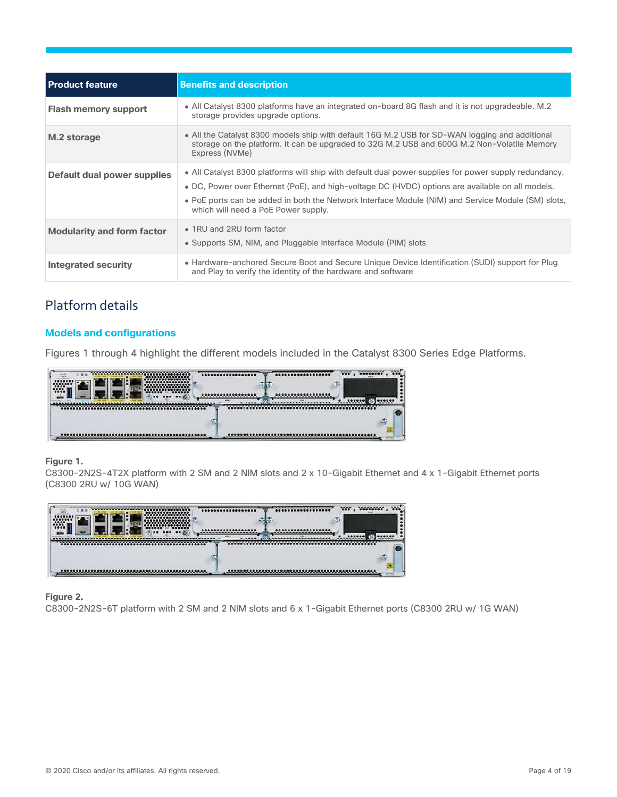| <b>Product feature</b>            | <b>Benefits and description</b>                                                                                                                                                                                                                                                                                                                        |
|-----------------------------------|--------------------------------------------------------------------------------------------------------------------------------------------------------------------------------------------------------------------------------------------------------------------------------------------------------------------------------------------------------|
| <b>Flash memory support</b>       | • All Catalyst 8300 platforms have an integrated on-board 8G flash and it is not upgradeable. M.2<br>storage provides upgrade options.                                                                                                                                                                                                                 |
| M.2 storage                       | • All the Catalyst 8300 models ship with default 16G M.2 USB for SD-WAN logging and additional<br>storage on the platform. It can be upgraded to 32G M.2 USB and 600G M.2 Non-Volatile Memory<br>Express (NVMe)                                                                                                                                        |
| Default dual power supplies       | • All Catalyst 8300 platforms will ship with default dual power supplies for power supply redundancy.<br>• DC, Power over Ethernet (PoE), and high-voltage DC (HVDC) options are available on all models.<br>. PoE ports can be added in both the Network Interface Module (NIM) and Service Module (SM) slots,<br>which will need a PoE Power supply. |
| <b>Modularity and form factor</b> | • 1RU and 2RU form factor<br>• Supports SM, NIM, and Pluggable Interface Module (PIM) slots                                                                                                                                                                                                                                                            |
| Integrated security               | • Hardware-anchored Secure Boot and Secure Unique Device Identification (SUDI) support for Plug<br>and Play to verify the identity of the hardware and software                                                                                                                                                                                        |

# Platform details

### **Models and configurations**

Figures 1 through 4 highlight the different models included in the Catalyst 8300 Series Edge Platforms.



### **Figure 1.**

C8300-2N2S-4T2X platform with 2 SM and 2 NIM slots and 2 x 10-Gigabit Ethernet and 4 x 1-Gigabit Ethernet ports (C8300 2RU w/ 10G WAN)



### **Figure 2.**

C8300-2N2S-6T platform with 2 SM and 2 NIM slots and 6 x 1-Gigabit Ethernet ports (C8300 2RU w/ 1G WAN)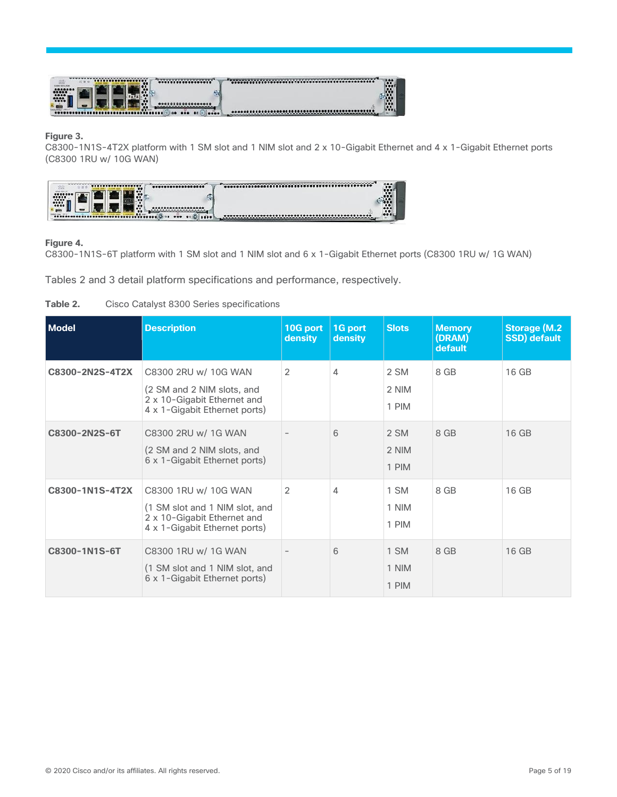

#### **Figure 3.**

C8300-1N1S-4T2X platform with 1 SM slot and 1 NIM slot and 2 x 10-Gigabit Ethernet and 4 x 1-Gigabit Ethernet ports (C8300 1RU w/ 10G WAN)



### **Figure 4.**

C8300-1N1S-6T platform with 1 SM slot and 1 NIM slot and 6 x 1-Gigabit Ethernet ports (C8300 1RU w/ 1G WAN)

Tables 2 and 3 detail platform specifications and performance, respectively.

| Table 2. |  |  |  |  | Cisco Catalyst 8300 Series specifications |
|----------|--|--|--|--|-------------------------------------------|
|----------|--|--|--|--|-------------------------------------------|

| Model           | <b>Description</b>                                                                                                     | 10G port<br><b>density</b> | 1G port<br>density | <b>Slots</b>           | <b>Memory</b><br>(DRAM)<br>default | <b>Storage (M.2)</b><br><b>SSD)</b> default |
|-----------------|------------------------------------------------------------------------------------------------------------------------|----------------------------|--------------------|------------------------|------------------------------------|---------------------------------------------|
| C8300-2N2S-4T2X | C8300 2RU w/ 10G WAN<br>(2 SM and 2 NIM slots, and<br>2 x 10-Gigabit Ethernet and<br>4 x 1-Gigabit Ethernet ports)     | 2                          | 4                  | 2 SM<br>2 NIM<br>1 PIM | 8 GB                               | 16 GB                                       |
| C8300-2N2S-6T   | C8300 2RU w/ 1G WAN<br>(2 SM and 2 NIM slots, and<br>6 x 1-Gigabit Ethernet ports)                                     |                            | 6                  | 2 SM<br>2 NIM<br>1 PIM | 8 GB                               | 16 GB                                       |
| C8300-1N1S-4T2X | C8300 1RU w/ 10G WAN<br>(1 SM slot and 1 NIM slot, and<br>2 x 10-Gigabit Ethernet and<br>4 x 1-Gigabit Ethernet ports) | 2                          | 4                  | 1 SM<br>1 NIM<br>1 PIM | 8 GB                               | 16 GB                                       |
| C8300-1N1S-6T   | C8300 1RU w/ 1G WAN<br>(1 SM slot and 1 NIM slot, and<br>6 x 1-Gigabit Ethernet ports)                                 |                            | 6                  | 1 SM<br>1 NIM<br>1 PIM | 8 GB                               | 16 GB                                       |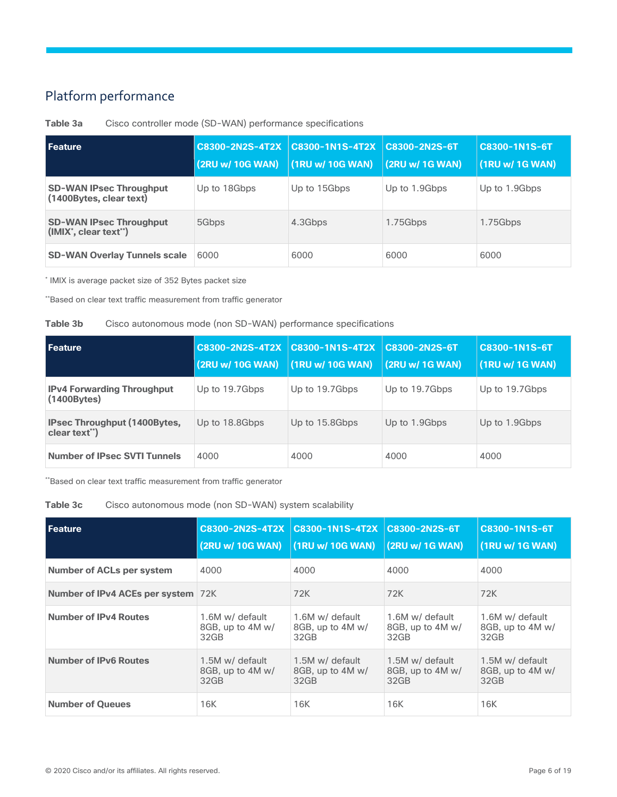# Platform performance

| Feature                                                                   | <b>C8300-2N2S-4T2X</b><br>(2RU w/ 10G WAN) | <b>C8300-1N1S-4T2X</b><br>(1RU w/ 10G WAN) | C8300-2N2S-6T<br>(2RU w/ 1G WAN) | <b>C8300-1N1S-6T</b><br>(1RU w/ 1G WAN) |
|---------------------------------------------------------------------------|--------------------------------------------|--------------------------------------------|----------------------------------|-----------------------------------------|
| <b>SD-WAN IPsec Throughput</b><br>(1400Bytes, clear text)                 | Up to 18Gbps                               | Up to 15Gbps                               | Up to 1.9Gbps                    | Up to 1.9Gbps                           |
| <b>SD-WAN IPsec Throughput</b><br>$(MIX^{\dagger}, clear text^{\dagger})$ | 5Gbps                                      | 4.3Gbps                                    | 1.75Gbps                         | 1.75Gbps                                |
| <b>SD-WAN Overlay Tunnels scale</b>                                       | 6000                                       | 6000                                       | 6000                             | 6000                                    |

**Table 3a** Cisco controller mode (SD-WAN) performance specifications

\* IMIX is average packet size of 352 Bytes packet size

\*\*Based on clear text traffic measurement from traffic generator

### **Table 3b** Cisco autonomous mode (non SD-WAN) performance specifications

| <b>Feature</b>                                         | <b>C8300-2N2S-4T2X</b><br>(2RU w/ 10G WAN) | $\overline{2}$ C8300-1N1S-4T2X<br>(1RU w/ 10G WAN) | C8300-2N2S-6T<br>(2RU w/ 1G WAN) | C8300-1N1S-6T<br>(1RU w/ 1G WAN) |
|--------------------------------------------------------|--------------------------------------------|----------------------------------------------------|----------------------------------|----------------------------------|
| <b>IPv4 Forwarding Throughput</b><br>$(1400$ Bytes $)$ | Up to 19.7Gbps                             | Up to 19.7Gbps                                     | Up to 19.7Gbps                   | Up to 19.7Gbps                   |
| <b>IPsec Throughput (1400Bytes,</b><br>clear text")    | Up to 18.8Gbps                             | Up to 15.8 Gbps                                    | Up to 1.9Gbps                    | Up to 1.9Gbps                    |
| <b>Number of IPsec SVTI Tunnels</b>                    | 4000                                       | 4000                                               | 4000                             | 4000                             |

\*\*Based on clear text traffic measurement from traffic generator

| Table 3c | Cisco autonomous mode (non SD-WAN) system scalability |  |  |
|----------|-------------------------------------------------------|--|--|
|----------|-------------------------------------------------------|--|--|

| Feature                            | C8300-2N2S-4T2X  | C8300-1N1S-4T2X  | C8300-2N2S-6T    | C8300-1N1S-6T    |
|------------------------------------|------------------|------------------|------------------|------------------|
|                                    | (2RU w/ 10G WAN) | (1RU w/ 10G WAN) | (2RU w/ 1G WAN)  | (1RU w/ 1G WAN)  |
| <b>Number of ACLs per system</b>   | 4000             | 4000             | 4000             | 4000             |
| Number of IPv4 ACEs per system 72K |                  | 72K              | 72K              | 72K              |
| <b>Number of IPv4 Routes</b>       | 1.6M w/ default  | 1.6M w/ default  | 1.6M w/ default  | 1.6M w/ default  |
|                                    | 8GB, up to 4M w/ | 8GB, up to 4M w/ | 8GB, up to 4M w/ | 8GB, up to 4M w/ |
|                                    | 32GB             | 32GB             | 32GB             | 32GB             |
| <b>Number of IPv6 Routes</b>       | 1.5M w/ default  | 1.5M w/ default  | 1.5M w/ default  | 1.5M w/ default  |
|                                    | 8GB, up to 4M w/ | 8GB, up to 4M w/ | 8GB, up to 4M w/ | 8GB, up to 4M w/ |
|                                    | 32GB             | 32GB             | 32GB             | 32GB             |
| <b>Number of Queues</b>            | 16K              | 16K              | 16K              | 16K              |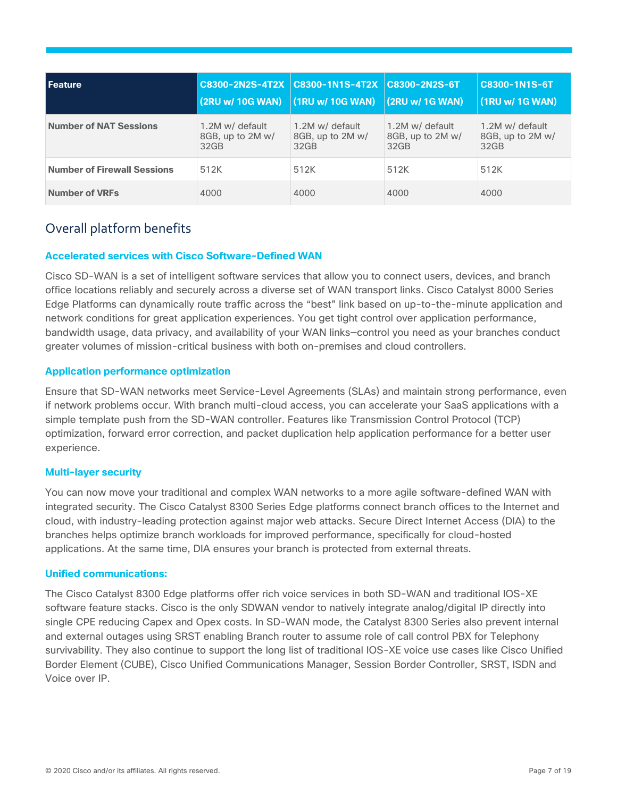| l Feature                          | (2RU w/ 10G WAN)                            | C8300-2N2S-4T2X C8300-1N1S-4T2X C8300-2N2S-6T<br>(1RU w/ 10G WAN) | (2RU w/ 1G WAN)                             | C8300-1N1S-6T<br>(1RU w/ 1G WAN)            |
|------------------------------------|---------------------------------------------|-------------------------------------------------------------------|---------------------------------------------|---------------------------------------------|
| <b>Number of NAT Sessions</b>      | 1.2M w/ default<br>8GB, up to 2M w/<br>32GB | 1.2M w/ default<br>8GB, up to 2M w/<br>32GB                       | 1.2M w/ default<br>8GB, up to 2M w/<br>32GB | 1.2M w/ default<br>8GB, up to 2M w/<br>32GB |
| <b>Number of Firewall Sessions</b> | 512K                                        | 512K                                                              | 512K                                        | 512K                                        |
| <b>Number of VRFs</b>              | 4000                                        | 4000                                                              | 4000                                        | 4000                                        |

# Overall platform benefits

### **Accelerated services with Cisco Software-Defined WAN**

Cisco SD-WAN is a set of intelligent software services that allow you to connect users, devices, and branch office locations reliably and securely across a diverse set of WAN transport links. Cisco Catalyst 8000 Series Edge Platforms can dynamically route traffic across the "best" link based on up-to-the-minute application and network conditions for great application experiences. You get tight control over application performance, bandwidth usage, data privacy, and availability of your WAN links—control you need as your branches conduct greater volumes of mission-critical business with both on-premises and cloud controllers.

### **Application performance optimization**

Ensure that SD-WAN networks meet Service-Level Agreements (SLAs) and maintain strong performance, even if network problems occur. With branch multi-cloud access, you can accelerate your SaaS applications with a simple template push from the SD-WAN controller. Features like Transmission Control Protocol (TCP) optimization, forward error correction, and packet duplication help application performance for a better user experience.

### **Multi-layer security**

You can now move your traditional and complex WAN networks to a more agile software-defined WAN with integrated security. The Cisco Catalyst 8300 Series Edge platforms connect branch offices to the Internet and cloud, with industry-leading protection against major web attacks. Secure Direct Internet Access (DIA) to the branches helps optimize branch workloads for improved performance, specifically for cloud-hosted applications. At the same time, DIA ensures your branch is protected from external threats.

### **Unified communications:**

The Cisco Catalyst 8300 Edge platforms offer rich voice services in both SD-WAN and traditional IOS-XE software feature stacks. Cisco is the only SDWAN vendor to natively integrate analog/digital IP directly into single CPE reducing Capex and Opex costs. In SD-WAN mode, the Catalyst 8300 Series also prevent internal and external outages using SRST enabling Branch router to assume role of call control PBX for Telephony survivability. They also continue to support the long list of traditional IOS-XE voice use cases like Cisco Unified Border Element (CUBE), Cisco Unified Communications Manager, Session Border Controller, SRST, ISDN and Voice over IP.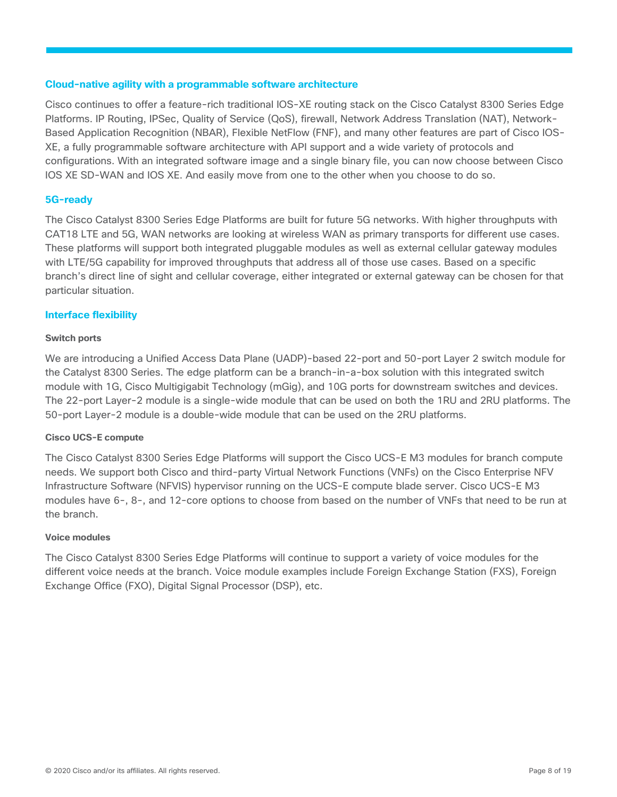#### **Cloud-native agility with a programmable software architecture**

Cisco continues to offer a feature-rich traditional IOS-XE routing stack on the Cisco Catalyst 8300 Series Edge Platforms. IP Routing, IPSec, Quality of Service (QoS), firewall, Network Address Translation (NAT), Network-Based Application Recognition (NBAR), Flexible NetFlow (FNF), and many other features are part of Cisco IOS-XE, a fully programmable software architecture with API support and a wide variety of protocols and configurations. With an integrated software image and a single binary file, you can now choose between Cisco IOS XE SD-WAN and IOS XE. And easily move from one to the other when you choose to do so.

### **5G-ready**

The Cisco Catalyst 8300 Series Edge Platforms are built for future 5G networks. With higher throughputs with CAT18 LTE and 5G, WAN networks are looking at wireless WAN as primary transports for different use cases. These platforms will support both integrated pluggable modules as well as external cellular gateway modules with LTE/5G capability for improved throughputs that address all of those use cases. Based on a specific branch's direct line of sight and cellular coverage, either integrated or external gateway can be chosen for that particular situation.

### **Interface flexibility**

### **Switch ports**

We are introducing a Unified Access Data Plane (UADP)-based 22-port and 50-port Layer 2 switch module for the Catalyst 8300 Series. The edge platform can be a branch-in-a-box solution with this integrated switch module with 1G, Cisco Multigigabit Technology (mGig), and 10G ports for downstream switches and devices. The 22-port Layer-2 module is a single-wide module that can be used on both the 1RU and 2RU platforms. The 50-port Layer-2 module is a double-wide module that can be used on the 2RU platforms.

### **Cisco UCS-E compute**

The Cisco Catalyst 8300 Series Edge Platforms will support the Cisco UCS-E M3 modules for branch compute needs. We support both Cisco and third-party Virtual Network Functions (VNFs) on the Cisco Enterprise NFV Infrastructure Software (NFVIS) hypervisor running on the UCS-E compute blade server. Cisco UCS-E M3 modules have 6-, 8-, and 12-core options to choose from based on the number of VNFs that need to be run at the branch.

#### **Voice modules**

The Cisco Catalyst 8300 Series Edge Platforms will continue to support a variety of voice modules for the different voice needs at the branch. Voice module examples include Foreign Exchange Station (FXS), Foreign Exchange Office (FXO), Digital Signal Processor (DSP), etc.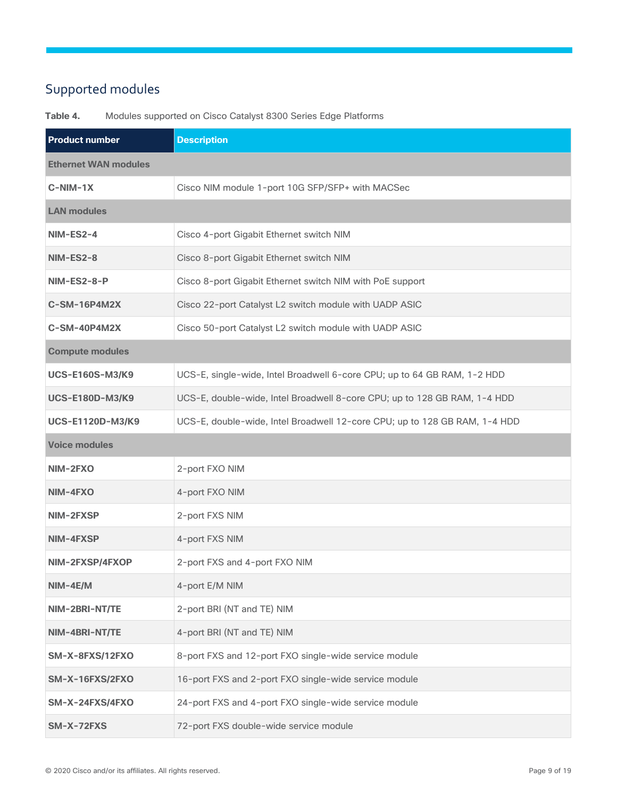# Supported modules

**Product number Description Ethernet WAN modules C-NIM-1X** Cisco NIM module 1-port 10G SFP/SFP+ with MACSec **LAN modules NIM-ES2-4** Cisco 4-port Gigabit Ethernet switch NIM **NIM-ES2-8** Cisco 8-port Gigabit Ethernet switch NIM **NIM-ES2-8-P** Cisco 8-port Gigabit Ethernet switch NIM with PoE support **C-SM-16P4M2X** Cisco 22-port Catalyst L2 switch module with UADP ASIC **C-SM-40P4M2X** Cisco 50-port Catalyst L2 switch module with UADP ASIC **Compute modules UCS-E160S-M3/K9** UCS-E, single-wide, Intel Broadwell 6-core CPU; up to 64 GB RAM, 1-2 HDD **UCS-E180D-M3/K9** UCS-E, double-wide, Intel Broadwell 8-core CPU; up to 128 GB RAM, 1-4 HDD **UCS-E1120D-M3/K9** UCS-E, double-wide, Intel Broadwell 12-core CPU; up to 128 GB RAM, 1-4 HDD **Voice modules NIM-2FXO** 2-port FXO NIM **NIM-4FXO** 4-port FXO NIM **NIM-2FXSP** 2-port FXS NIM **NIM-4FXSP** 4-port FXS NIM **NIM-2FXSP/4FXOP** 2-port FXS and 4-port FXO NIM **NIM-4E/M** 4-port E/M NIM **NIM-2BRI-NT/TE** 2-port BRI (NT and TE) NIM **NIM-4BRI-NT/TE** 4-port BRI (NT and TE) NIM **SM-X-8FXS/12FXO** 8-port FXS and 12-port FXO single-wide service module **SM-X-16FXS/2FXO** 16-port FXS and 2-port FXO single-wide service module **SM-X-24FXS/4FXO** 24-port FXS and 4-port FXO single-wide service module **SM-X-72FXS** 72-port FXS double-wide service module

**Table 4.** Modules supported on Cisco Catalyst 8300 Series Edge Platforms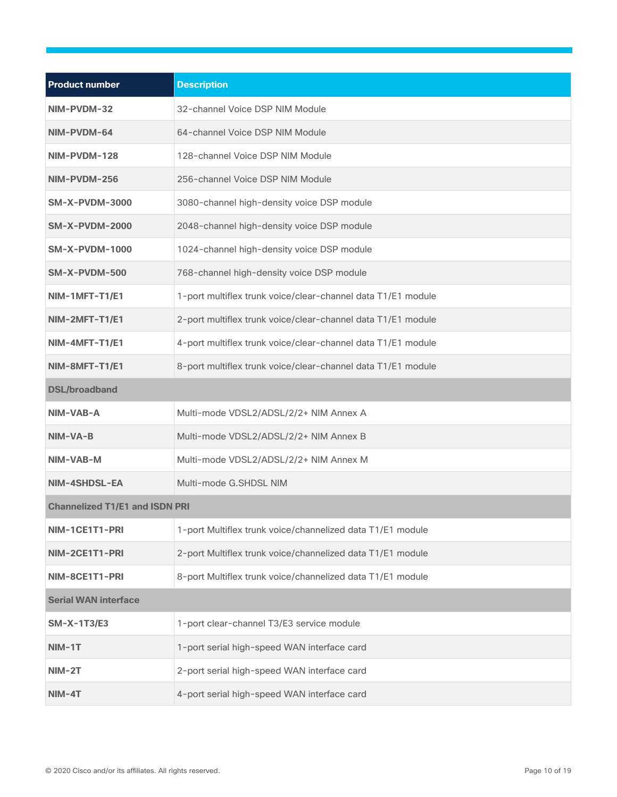| <b>Product number</b>                 | <b>Description</b>                                           |  |  |
|---------------------------------------|--------------------------------------------------------------|--|--|
| NIM-PVDM-32                           | 32-channel Voice DSP NIM Module                              |  |  |
| NIM-PVDM-64                           | 64-channel Voice DSP NIM Module                              |  |  |
| NIM-PVDM-128                          | 128-channel Voice DSP NIM Module                             |  |  |
| NIM-PVDM-256                          | 256-channel Voice DSP NIM Module                             |  |  |
| <b>SM-X-PVDM-3000</b>                 | 3080-channel high-density voice DSP module                   |  |  |
| <b>SM-X-PVDM-2000</b>                 | 2048-channel high-density voice DSP module                   |  |  |
| SM-X-PVDM-1000                        | 1024-channel high-density voice DSP module                   |  |  |
| SM-X-PVDM-500                         | 768-channel high-density voice DSP module                    |  |  |
| NIM-1MFT-T1/E1                        | 1-port multiflex trunk voice/clear-channel data T1/E1 module |  |  |
| NIM-2MFT-T1/E1                        | 2-port multiflex trunk voice/clear-channel data T1/E1 module |  |  |
| NIM-4MFT-T1/E1                        | 4-port multiflex trunk voice/clear-channel data T1/E1 module |  |  |
| NIM-8MFT-T1/E1                        | 8-port multiflex trunk voice/clear-channel data T1/E1 module |  |  |
| <b>DSL/broadband</b>                  |                                                              |  |  |
| NIM-VAB-A                             | Multi-mode VDSL2/ADSL/2/2+ NIM Annex A                       |  |  |
| NIM-VA-B                              | Multi-mode VDSL2/ADSL/2/2+ NIM Annex B                       |  |  |
| NIM-VAB-M                             | Multi-mode VDSL2/ADSL/2/2+ NIM Annex M                       |  |  |
| NIM-4SHDSL-EA                         | Multi-mode G.SHDSL NIM                                       |  |  |
| <b>Channelized T1/E1 and ISDN PRI</b> |                                                              |  |  |
| NIM-1CE1T1-PRI                        | 1-port Multiflex trunk voice/channelized data T1/E1 module   |  |  |
| NIM-2CE1T1-PRI                        | 2-port Multiflex trunk voice/channelized data T1/E1 module   |  |  |
| NIM-8CE1T1-PRI                        | 8-port Multiflex trunk voice/channelized data T1/E1 module   |  |  |
| <b>Serial WAN interface</b>           |                                                              |  |  |
| <b>SM-X-1T3/E3</b>                    | 1-port clear-channel T3/E3 service module                    |  |  |
| NIM-1T                                | 1-port serial high-speed WAN interface card                  |  |  |
| $NIM-2T$                              | 2-port serial high-speed WAN interface card                  |  |  |
| $NIM-4T$                              | 4-port serial high-speed WAN interface card                  |  |  |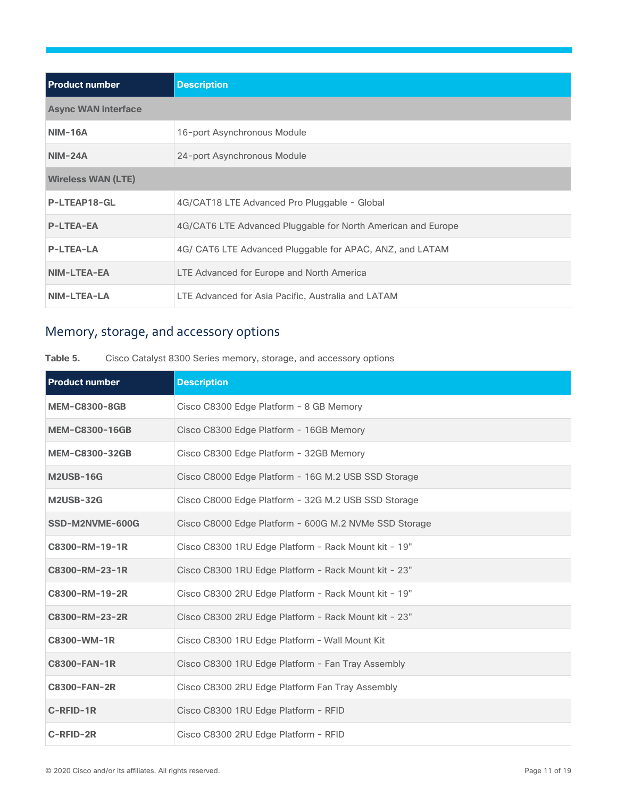| <b>Product number</b>      | <b>Description</b>                                           |
|----------------------------|--------------------------------------------------------------|
| <b>Async WAN interface</b> |                                                              |
| <b>NIM-16A</b>             | 16-port Asynchronous Module                                  |
| <b>NIM-24A</b>             | 24-port Asynchronous Module                                  |
| <b>Wireless WAN (LTE)</b>  |                                                              |
| P-LTEAP18-GL               | 4G/CAT18 LTE Advanced Pro Pluggable - Global                 |
| <b>P-LTEA-EA</b>           | 4G/CAT6 LTE Advanced Pluggable for North American and Europe |
| <b>P-LTEA-LA</b>           | 4G/ CAT6 LTE Advanced Pluggable for APAC, ANZ, and LATAM     |
| NIM-LTEA-EA                | LTE Advanced for Europe and North America                    |
| <b>NIM-LTEA-LA</b>         | LTE Advanced for Asia Pacific, Australia and LATAM           |

# Memory, storage, and accessory options

### **Table 5.** Cisco Catalyst 8300 Series memory, storage, and accessory options

| <b>Product number</b> | <b>Description</b>                                    |
|-----------------------|-------------------------------------------------------|
| <b>MEM-C8300-8GB</b>  | Cisco C8300 Edge Platform - 8 GB Memory               |
| <b>MEM-C8300-16GB</b> | Cisco C8300 Edge Platform - 16GB Memory               |
| <b>MEM-C8300-32GB</b> | Cisco C8300 Edge Platform - 32GB Memory               |
| <b>M2USB-16G</b>      | Cisco C8000 Edge Platform - 16G M.2 USB SSD Storage   |
| <b>M2USB-32G</b>      | Cisco C8000 Edge Platform - 32G M.2 USB SSD Storage   |
| SSD-M2NVME-600G       | Cisco C8000 Edge Platform - 600G M.2 NVMe SSD Storage |
| C8300-RM-19-1R        | Cisco C8300 1RU Edge Platform - Rack Mount kit - 19"  |
| C8300-RM-23-1R        | Cisco C8300 1RU Edge Platform - Rack Mount kit - 23"  |
| C8300-RM-19-2R        | Cisco C8300 2RU Edge Platform - Rack Mount kit - 19"  |
| C8300-RM-23-2R        | Cisco C8300 2RU Edge Platform - Rack Mount kit - 23"  |
| C8300-WM-1R           | Cisco C8300 1RU Edge Platform - Wall Mount Kit        |
| <b>C8300-FAN-1R</b>   | Cisco C8300 1RU Edge Platform - Fan Tray Assembly     |
| <b>C8300-FAN-2R</b>   | Cisco C8300 2RU Edge Platform Fan Tray Assembly       |
| C-RFID-1R             | Cisco C8300 1RU Edge Platform - RFID                  |
| C-RFID-2R             | Cisco C8300 2RU Edge Platform - RFID                  |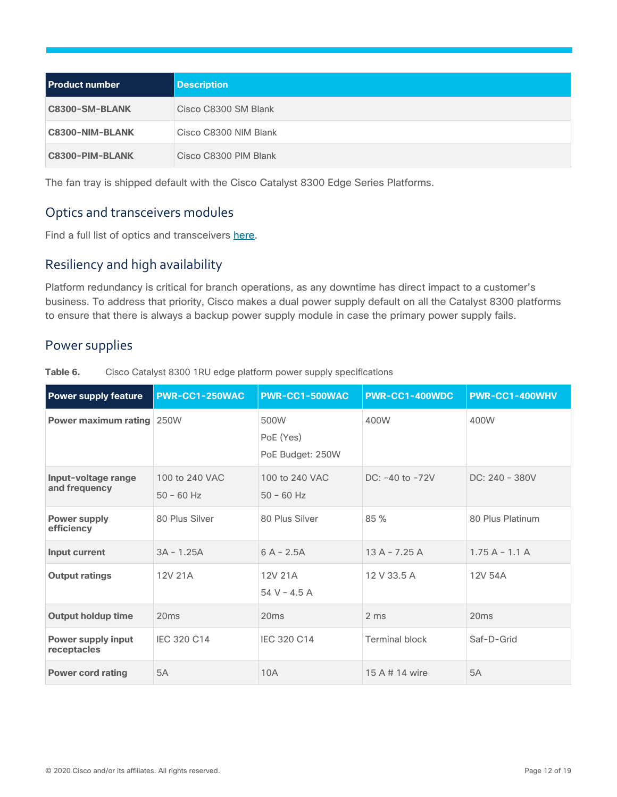| <b>Product number</b> | <b>Description</b>    |
|-----------------------|-----------------------|
| C8300-SM-BLANK        | Cisco C8300 SM Blank  |
| C8300-NIM-BLANK       | Cisco C8300 NIM Blank |
| C8300-PIM-BLANK       | Cisco C8300 PIM Blank |

The fan tray is shipped default with the Cisco Catalyst 8300 Edge Series Platforms.

# Optics and transceivers modules

Find a full list of optics and transceivers here.

# Resiliency and high availability

Platform redundancy is critical for branch operations, as any downtime has direct impact to a customer's business. To address that priority, Cisco makes a dual power supply default on all the Catalyst 8300 platforms to ensure that there is always a backup power supply module in case the primary power supply fails.

# Power supplies

Table 6. Cisco Catalyst 8300 1RU edge platform power supply specifications

| <b>Power supply feature</b>              | <b>PWR-CC1-250WAC</b>          | <b>PWR-CC1-500WAC</b>                 | <b>PWR-CC1-400WDC</b> | PWR-CC1-400WHV   |
|------------------------------------------|--------------------------------|---------------------------------------|-----------------------|------------------|
| <b>Power maximum rating 250W</b>         |                                | 500W<br>PoE (Yes)<br>PoE Budget: 250W | 400W                  | 400W             |
| Input-voltage range<br>and frequency     | 100 to 240 VAC<br>$50 - 60$ Hz | 100 to 240 VAC<br>$50 - 60$ Hz        | $DC: -40$ to $-72V$   | $DC: 240 - 380V$ |
| <b>Power supply</b><br>efficiency        | 80 Plus Silver                 | 80 Plus Silver                        | 85 %                  | 80 Plus Platinum |
| Input current                            | $3A - 1.25A$                   | $6A - 2.5A$                           | $13A - 7.25A$         | $1.75A - 1.1A$   |
| <b>Output ratings</b>                    | 12V 21A                        | 12V 21A<br>$54 V - 4.5 A$             | 12 V 33.5 A           | 12V 54A          |
| <b>Output holdup time</b>                | 20ms                           | 20ms                                  | 2 ms                  | 20ms             |
| <b>Power supply input</b><br>receptacles | IEC 320 C14                    | IEC 320 C14                           | <b>Terminal block</b> | Saf-D-Grid       |
| <b>Power cord rating</b>                 | 5A                             | 10A                                   | 15 A # 14 wire        | <b>5A</b>        |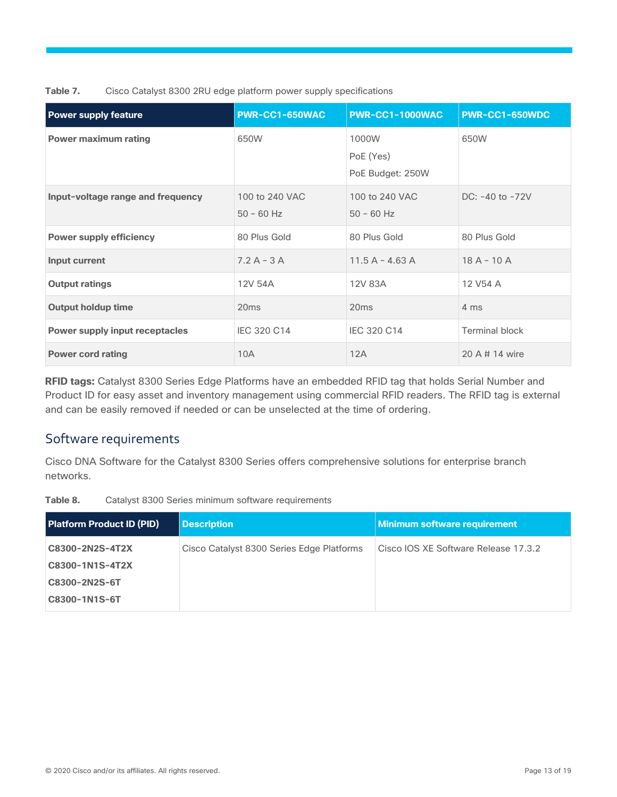**Table 7.** Cisco Catalyst 8300 2RU edge platform power supply specifications

| <b>Power supply feature</b>           | <b>PWR-CC1-650WAC</b>          | PWR-CC1-1000WAC                        | PWR-CC1-650WDC        |
|---------------------------------------|--------------------------------|----------------------------------------|-----------------------|
| <b>Power maximum rating</b>           | 650W                           | 1000W<br>PoE (Yes)<br>PoE Budget: 250W | 650W                  |
| Input-voltage range and frequency     | 100 to 240 VAC<br>$50 - 60$ Hz | 100 to 240 VAC<br>$50 - 60$ Hz         | $DC: -40$ to $-72V$   |
| <b>Power supply efficiency</b>        | 80 Plus Gold                   | 80 Plus Gold                           | 80 Plus Gold          |
| Input current                         | $7.2 A - 3 A$                  | $11.5 A - 4.63 A$                      | $18A - 10A$           |
| <b>Output ratings</b>                 | 12V 54A                        | 12V 83A                                | 12 V54 A              |
| <b>Output holdup time</b>             | 20ms                           | 20ms                                   | 4 ms                  |
| <b>Power supply input receptacles</b> | IEC 320 C14                    | IEC 320 C14                            | <b>Terminal block</b> |
| <b>Power cord rating</b>              | 10A                            | 12A                                    | 20 A # 14 wire        |

**RFID tags:** Catalyst 8300 Series Edge Platforms have an embedded RFID tag that holds Serial Number and Product ID for easy asset and inventory management using commercial RFID readers. The RFID tag is external and can be easily removed if needed or can be unselected at the time of ordering.

# Software requirements

Cisco DNA Software for the Catalyst 8300 Series offers comprehensive solutions for enterprise branch networks.

**Table 8.** Catalyst 8300 Series minimum software requirements

| <b>Platform Product ID (PID)</b> | <b>Description</b>                        | <b>Minimum software requirement</b>  |
|----------------------------------|-------------------------------------------|--------------------------------------|
| C8300-2N2S-4T2X                  | Cisco Catalyst 8300 Series Edge Platforms | Cisco IOS XE Software Release 17.3.2 |
| C8300-1N1S-4T2X                  |                                           |                                      |
| C8300-2N2S-6T                    |                                           |                                      |
| C8300-1N1S-6T                    |                                           |                                      |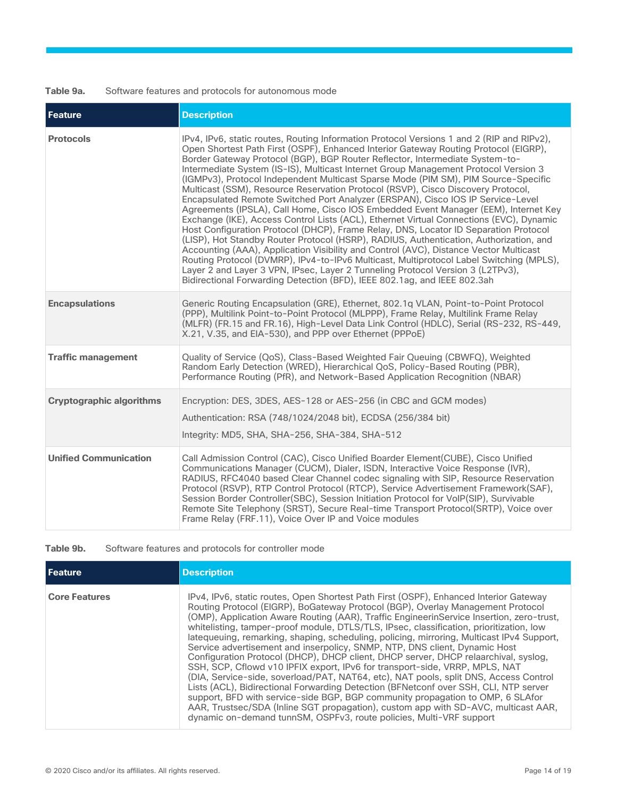### **Table 9a.** Software features and protocols for autonomous mode

| Feature                         | <b>Description</b>                                                                                                                                                                                                                                                                                                                                                                                                                                                                                                                                                                                                                                                                                                                                                                                                                                                                                                                                                                                                                                                                                                                                                                                                                                                                                                                          |
|---------------------------------|---------------------------------------------------------------------------------------------------------------------------------------------------------------------------------------------------------------------------------------------------------------------------------------------------------------------------------------------------------------------------------------------------------------------------------------------------------------------------------------------------------------------------------------------------------------------------------------------------------------------------------------------------------------------------------------------------------------------------------------------------------------------------------------------------------------------------------------------------------------------------------------------------------------------------------------------------------------------------------------------------------------------------------------------------------------------------------------------------------------------------------------------------------------------------------------------------------------------------------------------------------------------------------------------------------------------------------------------|
| <b>Protocols</b>                | IPv4, IPv6, static routes, Routing Information Protocol Versions 1 and 2 (RIP and RIPv2),<br>Open Shortest Path First (OSPF), Enhanced Interior Gateway Routing Protocol (EIGRP),<br>Border Gateway Protocol (BGP), BGP Router Reflector, Intermediate System-to-<br>Intermediate System (IS-IS), Multicast Internet Group Management Protocol Version 3<br>(IGMPv3), Protocol Independent Multicast Sparse Mode (PIM SM), PIM Source-Specific<br>Multicast (SSM), Resource Reservation Protocol (RSVP), Cisco Discovery Protocol,<br>Encapsulated Remote Switched Port Analyzer (ERSPAN), Cisco IOS IP Service-Level<br>Agreements (IPSLA), Call Home, Cisco IOS Embedded Event Manager (EEM), Internet Key<br>Exchange (IKE), Access Control Lists (ACL), Ethernet Virtual Connections (EVC), Dynamic<br>Host Configuration Protocol (DHCP), Frame Relay, DNS, Locator ID Separation Protocol<br>(LISP), Hot Standby Router Protocol (HSRP), RADIUS, Authentication, Authorization, and<br>Accounting (AAA), Application Visibility and Control (AVC), Distance Vector Multicast<br>Routing Protocol (DVMRP), IPv4-to-IPv6 Multicast, Multiprotocol Label Switching (MPLS),<br>Layer 2 and Layer 3 VPN, IPsec, Layer 2 Tunneling Protocol Version 3 (L2TPv3),<br>Bidirectional Forwarding Detection (BFD), IEEE 802.1ag, and IEEE 802.3ah |
| <b>Encapsulations</b>           | Generic Routing Encapsulation (GRE), Ethernet, 802.1q VLAN, Point-to-Point Protocol<br>(PPP), Multilink Point-to-Point Protocol (MLPPP), Frame Relay, Multilink Frame Relay<br>(MLFR) (FR.15 and FR.16), High-Level Data Link Control (HDLC), Serial (RS-232, RS-449,<br>X.21, V.35, and EIA-530), and PPP over Ethernet (PPPoE)                                                                                                                                                                                                                                                                                                                                                                                                                                                                                                                                                                                                                                                                                                                                                                                                                                                                                                                                                                                                            |
| <b>Traffic management</b>       | Quality of Service (QoS), Class-Based Weighted Fair Queuing (CBWFQ), Weighted<br>Random Early Detection (WRED), Hierarchical QoS, Policy-Based Routing (PBR),<br>Performance Routing (PfR), and Network-Based Application Recognition (NBAR)                                                                                                                                                                                                                                                                                                                                                                                                                                                                                                                                                                                                                                                                                                                                                                                                                                                                                                                                                                                                                                                                                                |
| <b>Cryptographic algorithms</b> | Encryption: DES, 3DES, AES-128 or AES-256 (in CBC and GCM modes)<br>Authentication: RSA (748/1024/2048 bit), ECDSA (256/384 bit)<br>Integrity: MD5, SHA, SHA-256, SHA-384, SHA-512                                                                                                                                                                                                                                                                                                                                                                                                                                                                                                                                                                                                                                                                                                                                                                                                                                                                                                                                                                                                                                                                                                                                                          |
| <b>Unified Communication</b>    | Call Admission Control (CAC), Cisco Unified Boarder Element(CUBE), Cisco Unified<br>Communications Manager (CUCM), Dialer, ISDN, Interactive Voice Response (IVR),<br>RADIUS, RFC4040 based Clear Channel codec signaling with SIP, Resource Reservation<br>Protocol (RSVP), RTP Control Protocol (RTCP), Service Advertisement Framework(SAF),<br>Session Border Controller(SBC), Session Initiation Protocol for VolP(SIP), Survivable<br>Remote Site Telephony (SRST), Secure Real-time Transport Protocol(SRTP), Voice over<br>Frame Relay (FRF.11), Voice Over IP and Voice modules                                                                                                                                                                                                                                                                                                                                                                                                                                                                                                                                                                                                                                                                                                                                                    |

### **Table 9b.** Software features and protocols for controller mode

| l Feature            | <b>Description</b>                                                                                                                                                                                                                                                                                                                                                                                                                                                                                                                                                                                                                                                                                                                                                                                                                                                                                                                                                                                                                                                                                                                              |
|----------------------|-------------------------------------------------------------------------------------------------------------------------------------------------------------------------------------------------------------------------------------------------------------------------------------------------------------------------------------------------------------------------------------------------------------------------------------------------------------------------------------------------------------------------------------------------------------------------------------------------------------------------------------------------------------------------------------------------------------------------------------------------------------------------------------------------------------------------------------------------------------------------------------------------------------------------------------------------------------------------------------------------------------------------------------------------------------------------------------------------------------------------------------------------|
| <b>Core Features</b> | IPv4, IPv6, static routes, Open Shortest Path First (OSPF), Enhanced Interior Gateway<br>Routing Protocol (EIGRP), BoGateway Protocol (BGP), Overlay Management Protocol<br>(OMP), Application Aware Routing (AAR), Traffic EngineerinService Insertion, zero-trust,<br>whitelisting, tamper-proof module, DTLS/TLS, IPsec, classification, prioritization, low<br>latequeuing, remarking, shaping, scheduling, policing, mirroring, Multicast IPv4 Support,<br>Service advertisement and inserpolicy, SNMP, NTP, DNS client, Dynamic Host<br>Configuration Protocol (DHCP), DHCP client, DHCP server, DHCP relaarchival, syslog,<br>SSH, SCP, Cflowd v10 IPFIX export, IPv6 for transport-side, VRRP, MPLS, NAT<br>(DIA, Service-side, soverload/PAT, NAT64, etc), NAT pools, split DNS, Access Control<br>Lists (ACL), Bidirectional Forwarding Detection (BFNetconf over SSH, CLI, NTP server<br>support, BFD with service-side BGP, BGP community propagation to OMP, 6 SLAfor<br>AAR, Trustsec/SDA (Inline SGT propagation), custom app with SD-AVC, multicast AAR,<br>dynamic on-demand tunnSM, OSPFv3, route policies, Multi-VRF support |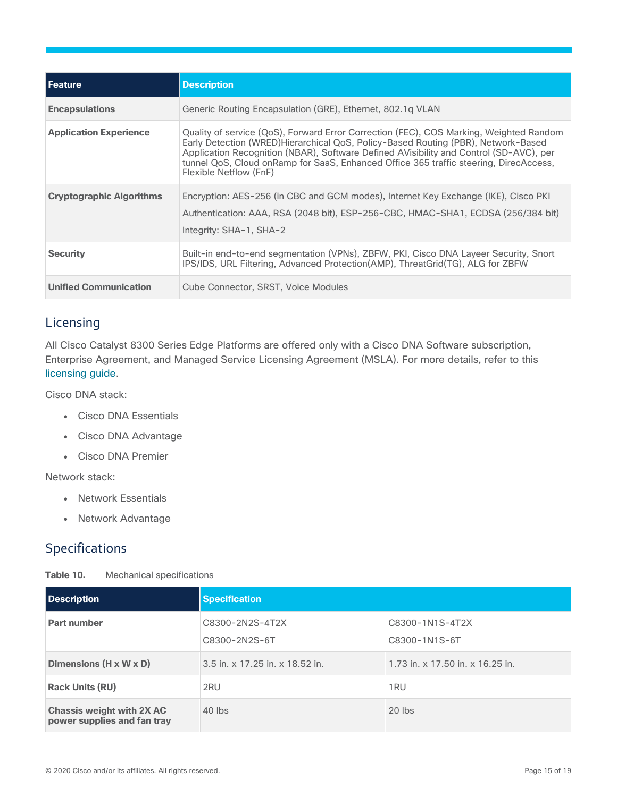| Feature                         | <b>Description</b>                                                                                                                                                                                                                                                                                                                                                                       |
|---------------------------------|------------------------------------------------------------------------------------------------------------------------------------------------------------------------------------------------------------------------------------------------------------------------------------------------------------------------------------------------------------------------------------------|
| <b>Encapsulations</b>           | Generic Routing Encapsulation (GRE), Ethernet, 802.1g VLAN                                                                                                                                                                                                                                                                                                                               |
| <b>Application Experience</b>   | Quality of service (QoS), Forward Error Correction (FEC), COS Marking, Weighted Random<br>Early Detection (WRED)Hierarchical QoS, Policy-Based Routing (PBR), Network-Based<br>Application Recognition (NBAR), Software Defined AVisibility and Control (SD-AVC), per<br>tunnel QoS, Cloud onRamp for SaaS, Enhanced Office 365 traffic steering, DirecAccess,<br>Flexible Netflow (FnF) |
| <b>Cryptographic Algorithms</b> | Encryption: AES-256 (in CBC and GCM modes), Internet Key Exchange (IKE), Cisco PKI<br>Authentication: AAA, RSA (2048 bit), ESP-256-CBC, HMAC-SHA1, ECDSA (256/384 bit)<br>Integrity: SHA-1, SHA-2                                                                                                                                                                                        |
| <b>Security</b>                 | Built-in end-to-end segmentation (VPNs), ZBFW, PKI, Cisco DNA Layeer Security, Snort<br>IPS/IDS, URL Filtering, Advanced Protection(AMP), ThreatGrid(TG), ALG for ZBFW                                                                                                                                                                                                                   |
| <b>Unified Communication</b>    | Cube Connector, SRST, Voice Modules                                                                                                                                                                                                                                                                                                                                                      |

# Licensing

All Cisco Catalyst 8300 Series Edge Platforms are offered only with a Cisco DNA Software subscription, Enterprise Agreement, and Managed Service Licensing Agreement (MSLA). For more details, refer to this licensing guide.

Cisco DNA stack:

- Cisco DNA Essentials
- Cisco DNA Advantage
- Cisco DNA Premier

Network stack:

- Network Essentials
- Network Advantage

# Specifications

| Table 10. |  | Mechanical specifications |
|-----------|--|---------------------------|
|-----------|--|---------------------------|

| Description                                                     | <b>Specification</b>             |                                  |
|-----------------------------------------------------------------|----------------------------------|----------------------------------|
| Part number                                                     | C8300-2N2S-4T2X<br>C8300-2N2S-6T | C8300-1N1S-4T2X<br>C8300-1N1S-6T |
| Dimensions (H x W x D)                                          | 3.5 in. x 17.25 in. x 18.52 in.  | 1.73 in. x 17.50 in. x 16.25 in. |
| <b>Rack Units (RU)</b>                                          | 2RU                              | 1 <sub>RU</sub>                  |
| <b>Chassis weight with 2X AC</b><br>power supplies and fan tray | $40$ lbs                         | $20$ lbs                         |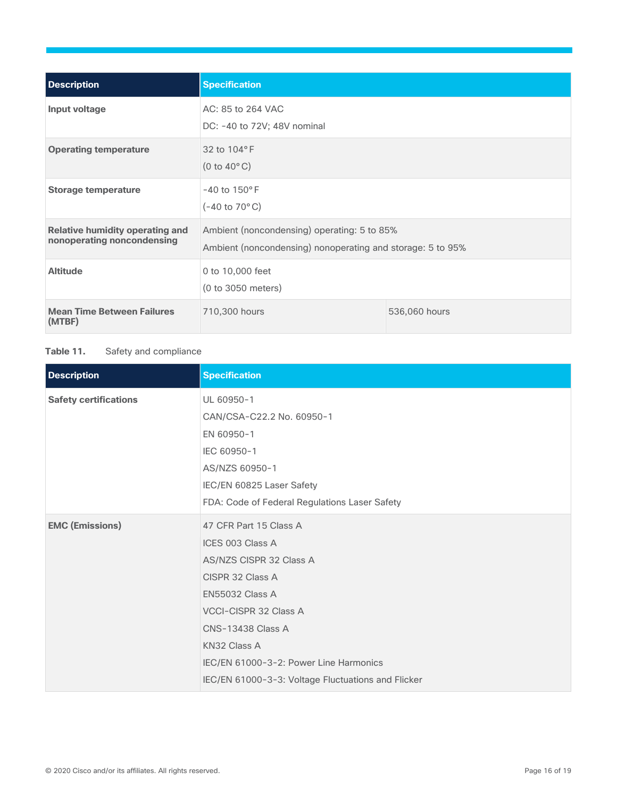| <b>Description</b>                                                   | <b>Specification</b>                                                                                      |               |
|----------------------------------------------------------------------|-----------------------------------------------------------------------------------------------------------|---------------|
| Input voltage                                                        | AC: 85 to 264 VAC<br>DC: -40 to 72V; 48V nominal                                                          |               |
| <b>Operating temperature</b>                                         | 32 to 104°F<br>$(0 to 40^{\circ} C)$                                                                      |               |
| <b>Storage temperature</b>                                           | $-40$ to $150^{\circ}$ F<br>$(-40 \text{ to } 70^{\circ} \text{C})$                                       |               |
| <b>Relative humidity operating and</b><br>nonoperating noncondensing | Ambient (noncondensing) operating: 5 to 85%<br>Ambient (noncondensing) nonoperating and storage: 5 to 95% |               |
| <b>Altitude</b>                                                      | 0 to 10,000 feet<br>(0 to 3050 meters)                                                                    |               |
| <b>Mean Time Between Failures</b><br>(MTBF)                          | 710,300 hours                                                                                             | 536,060 hours |

### Table 11. Safety and compliance

| <b>Description</b>           | <b>Specification</b>                               |
|------------------------------|----------------------------------------------------|
| <b>Safety certifications</b> | UL 60950-1                                         |
|                              | CAN/CSA-C22.2 No. 60950-1                          |
|                              | EN 60950-1                                         |
|                              | IEC 60950-1                                        |
|                              | AS/NZS 60950-1                                     |
|                              | IEC/EN 60825 Laser Safety                          |
|                              | FDA: Code of Federal Regulations Laser Safety      |
| <b>EMC (Emissions)</b>       | 47 CFR Part 15 Class A                             |
|                              | ICES 003 Class A                                   |
|                              | AS/NZS CISPR 32 Class A                            |
|                              | CISPR 32 Class A                                   |
|                              | <b>EN55032 Class A</b>                             |
|                              | VCCI-CISPR 32 Class A                              |
|                              | <b>CNS-13438 Class A</b>                           |
|                              | KN32 Class A                                       |
|                              | IEC/EN 61000-3-2: Power Line Harmonics             |
|                              | IEC/EN 61000-3-3: Voltage Fluctuations and Flicker |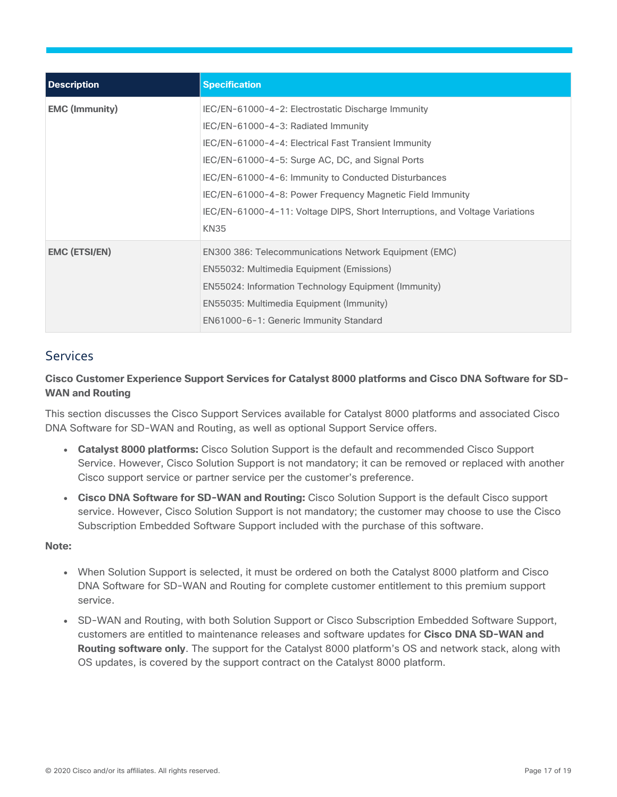| <b>Description</b>    | <b>Specification</b>                                                                                                                                                                                                                                                                                                                                                                                                      |
|-----------------------|---------------------------------------------------------------------------------------------------------------------------------------------------------------------------------------------------------------------------------------------------------------------------------------------------------------------------------------------------------------------------------------------------------------------------|
| <b>EMC (Immunity)</b> | IEC/EN-61000-4-2: Electrostatic Discharge Immunity<br>IEC/EN-61000-4-3: Radiated Immunity<br>IEC/EN-61000-4-4: Electrical Fast Transient Immunity<br>IEC/EN-61000-4-5: Surge AC, DC, and Signal Ports<br>IEC/EN-61000-4-6: Immunity to Conducted Disturbances<br>IEC/EN-61000-4-8: Power Frequency Magnetic Field Immunity<br>IEC/EN-61000-4-11: Voltage DIPS, Short Interruptions, and Voltage Variations<br><b>KN35</b> |
| <b>EMC (ETSI/EN)</b>  | EN300 386: Telecommunications Network Equipment (EMC)<br>EN55032: Multimedia Equipment (Emissions)<br>EN55024: Information Technology Equipment (Immunity)<br>EN55035: Multimedia Equipment (Immunity)<br>EN61000-6-1: Generic Immunity Standard                                                                                                                                                                          |

# Services

### **Cisco Customer Experience Support Services for Catalyst 8000 platforms and Cisco DNA Software for SD-WAN and Routing**

This section discusses the Cisco Support Services available for Catalyst 8000 platforms and associated Cisco DNA Software for SD-WAN and Routing, as well as optional Support Service offers.

- **Catalyst 8000 platforms:** Cisco Solution Support is the default and recommended Cisco Support Service. However, Cisco Solution Support is not mandatory; it can be removed or replaced with another Cisco support service or partner service per the customer's preference.
- **Cisco DNA Software for SD-WAN and Routing:** Cisco Solution Support is the default Cisco support service. However, Cisco Solution Support is not mandatory; the customer may choose to use the Cisco Subscription Embedded Software Support included with the purchase of this software.

### **Note:**

- When Solution Support is selected, it must be ordered on both the Catalyst 8000 platform and Cisco DNA Software for SD-WAN and Routing for complete customer entitlement to this premium support service.
- SD-WAN and Routing, with both Solution Support or Cisco Subscription Embedded Software Support, customers are entitled to maintenance releases and software updates for **Cisco DNA SD-WAN and Routing software only**. The support for the Catalyst 8000 platform's OS and network stack, along with OS updates, is covered by the support contract on the Catalyst 8000 platform.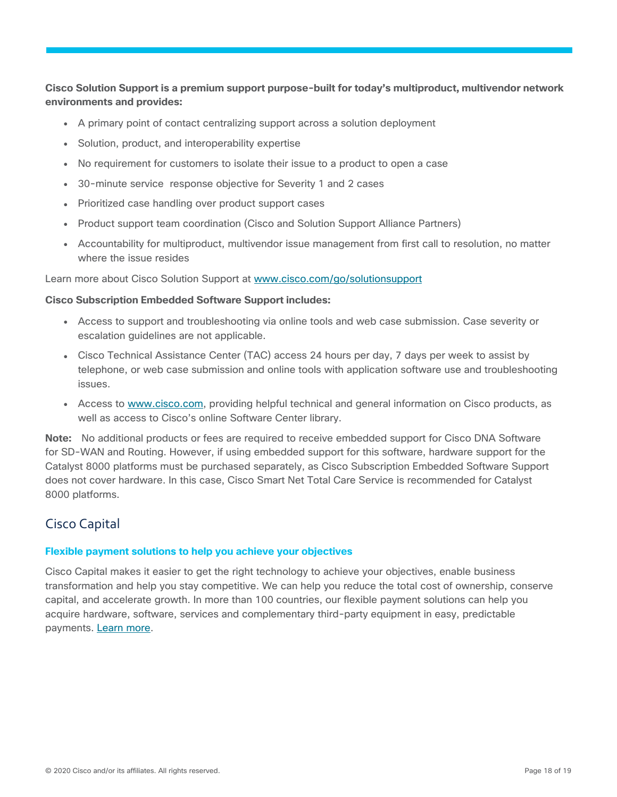### **Cisco Solution Support is a premium support purpose-built for today's multiproduct, multivendor network environments and provides:**

- A primary point of contact centralizing support across a solution deployment
- Solution, product, and interoperability expertise
- No requirement for customers to isolate their issue to a product to open a case
- 30-minute service response objective for Severity 1 and 2 cases
- Prioritized case handling over product support cases
- Product support team coordination (Cisco and Solution Support Alliance Partners)
- Accountability for multiproduct, multivendor issue management from first call to resolution, no matter where the issue resides

Learn more about Cisco Solution Support at www.cisco.com/go/solutionsupport

### **Cisco Subscription Embedded Software Support includes:**

- Access to support and troubleshooting via online tools and web case submission. Case severity or escalation guidelines are not applicable.
- Cisco Technical Assistance Center (TAC) access 24 hours per day, 7 days per week to assist by telephone, or web case submission and online tools with application software use and troubleshooting issues.
- Access to www.cisco.com, providing helpful technical and general information on Cisco products, as well as access to Cisco's online Software Center library.

**Note:** No additional products or fees are required to receive embedded support for Cisco DNA Software for SD-WAN and Routing. However, if using embedded support for this software, hardware support for the Catalyst 8000 platforms must be purchased separately, as Cisco Subscription Embedded Software Support does not cover hardware. In this case, Cisco Smart Net Total Care Service is recommended for Catalyst 8000 platforms.

### Cisco Capital

### **Flexible payment solutions to help you achieve your objectives**

Cisco Capital makes it easier to get the right technology to achieve your objectives, enable business transformation and help you stay competitive. We can help you reduce the total cost of ownership, conserve capital, and accelerate growth. In more than 100 countries, our flexible payment solutions can help you acquire hardware, software, services and complementary third-party equipment in easy, predictable payments. Learn more.